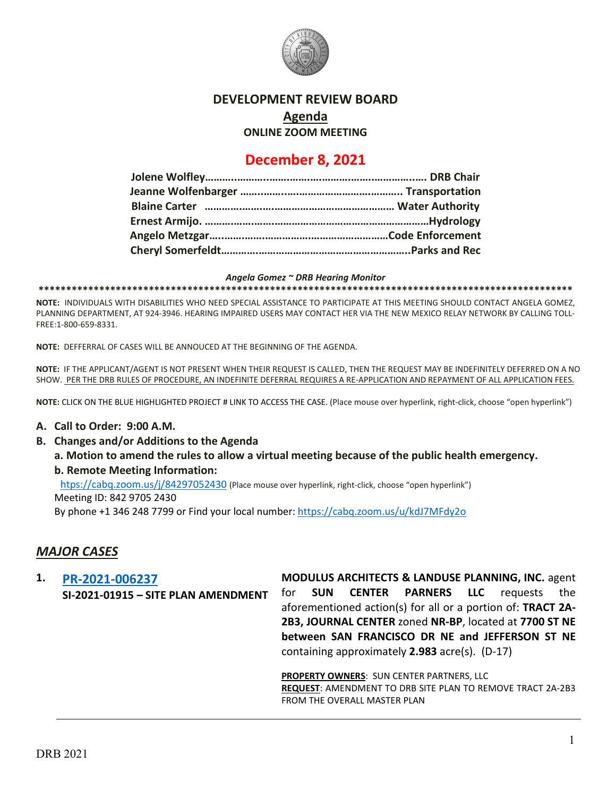

### **DEVELOPMENT REVIEW BOARD**

**Agenda**

**ONLINE ZOOM MEETING**

## **December 8, 2021**

#### *Angela Gomez ~ DRB Hearing Monitor*

**\*\*\*\*\*\*\*\*\*\*\*\*\*\*\*\*\*\*\*\*\*\*\*\*\*\*\*\*\*\*\*\*\*\*\*\*\*\*\*\*\*\*\*\*\*\*\*\*\*\*\*\*\*\*\*\*\*\*\*\*\*\*\*\*\*\*\*\*\*\*\*\*\*\*\*\*\*\*\*\*\*\*\*\*\*\*\*\*\*\*\*\*\*\*\*\*\***

**NOTE:** INDIVIDUALS WITH DISABILITIES WHO NEED SPECIAL ASSISTANCE TO PARTICIPATE AT THIS MEETING SHOULD CONTACT ANGELA GOMEZ, PLANNING DEPARTMENT, AT 924-3946. HEARING IMPAIRED USERS MAY CONTACT HER VIA THE NEW MEXICO RELAY NETWORK BY CALLING TOLL-FREE:1-800-659-8331.

**NOTE:** DEFFERRAL OF CASES WILL BE ANNOUCED AT THE BEGINNING OF THE AGENDA.

**NOTE:** IF THE APPLICANT/AGENT IS NOT PRESENT WHEN THEIR REQUEST IS CALLED, THEN THE REQUEST MAY BE INDEFINITELY DEFERRED ON A NO SHOW. PER THE DRB RULES OF PROCEDURE, AN INDEFINITE DEFERRAL REQUIRES A RE-APPLICATION AND REPAYMENT OF ALL APPLICATION FEES.

**NOTE:** CLICK ON THE BLUE HIGHLIGHTED PROJECT # LINK TO ACCESS THE CASE. (Place mouse over hyperlink, right-click, choose "open hyperlink")

### **A. Call to Order: 9:00 A.M.**

**B. Changes and/or Additions to the Agenda**

**a. Motion to amend the rules to allow a virtual meeting because of the public health emergency. b. Remote Meeting Information:** 

 [htps://cabq.zoom.us/j/84297052430](https://cabq.zoom.us/j/84297052430) (Place mouse over hyperlink, right-click, choose "open hyperlink") Meeting ID: 842 9705 2430 By phone +1 346 248 7799 or Find your local number:<https://cabq.zoom.us/u/kdJ7MFdy2o>

# *MAJOR CASES*

**1. [PR-2021-006237](http://data.cabq.gov/government/planning/DRB/PR-2021-006237/DRB%20Submittals/PR-2021-006237_Dec_8_2021/Application/DRB%20SITE%20PLAN%20FOR%207700%20JEFFERSON%20ST.pdf) SI-2021-01915 – SITE PLAN AMENDMENT MODULUS ARCHITECTS & LANDUSE PLANNING, INC.** agent for **SUN CENTER PARNERS LLC** requests the aforementioned action(s) for all or a portion of: **TRACT 2A-2B3, JOURNAL CENTER** zoned **NR-BP**, located at **7700 ST NE between SAN FRANCISCO DR NE and JEFFERSON ST NE**  containing approximately **2.983** acre(s). (D-17)

> **PROPERTY OWNERS**: SUN CENTER PARTNERS, LLC **REQUEST**: AMENDMENT TO DRB SITE PLAN TO REMOVE TRACT 2A-2B3 FROM THE OVERALL MASTER PLAN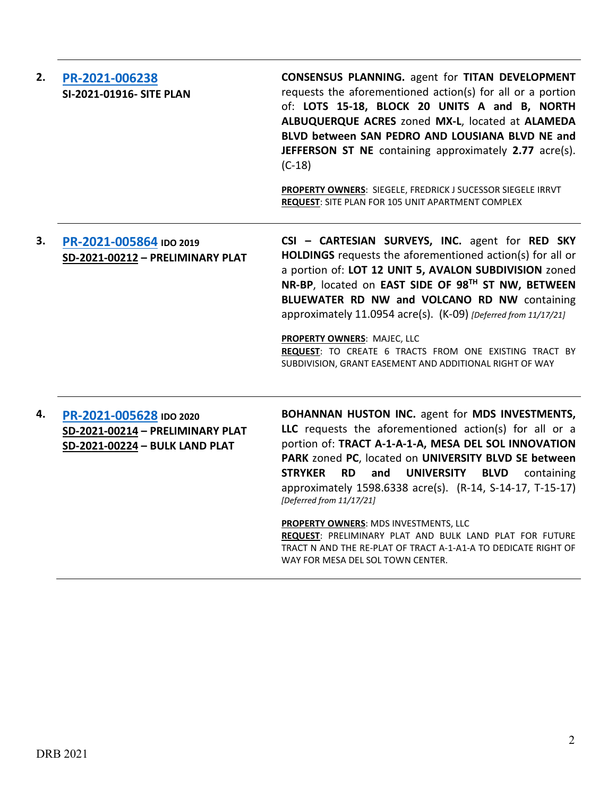| 2. | PR-2021-006238<br>SI-2021-01916- SITE PLAN                                                    | <b>CONSENSUS PLANNING.</b> agent for TITAN DEVELOPMENT<br>requests the aforementioned action(s) for all or a portion<br>of: LOTS 15-18, BLOCK 20 UNITS A and B, NORTH<br>ALBUQUERQUE ACRES zoned MX-L, located at ALAMEDA<br>BLVD between SAN PEDRO AND LOUSIANA BLVD NE and<br>JEFFERSON ST NE containing approximately 2.77 acre(s).<br>$(C-18)$<br>PROPERTY OWNERS: SIEGELE, FREDRICK J SUCESSOR SIEGELE IRRVT<br>REQUEST: SITE PLAN FOR 105 UNIT APARTMENT COMPLEX                                                                                                                  |
|----|-----------------------------------------------------------------------------------------------|-----------------------------------------------------------------------------------------------------------------------------------------------------------------------------------------------------------------------------------------------------------------------------------------------------------------------------------------------------------------------------------------------------------------------------------------------------------------------------------------------------------------------------------------------------------------------------------------|
| 3. | PR-2021-005864 IDO 2019<br>SD-2021-00212 - PRELIMINARY PLAT                                   | CSI - CARTESIAN SURVEYS, INC. agent for RED SKY<br>HOLDINGS requests the aforementioned action(s) for all or<br>a portion of: LOT 12 UNIT 5, AVALON SUBDIVISION zoned<br>NR-BP, located on EAST SIDE OF 98TH ST NW, BETWEEN<br>BLUEWATER RD NW and VOLCANO RD NW containing<br>approximately 11.0954 acre(s). (K-09) [Deferred from 11/17/21]<br>PROPERTY OWNERS: MAJEC, LLC<br>REQUEST: TO CREATE 6 TRACTS FROM ONE EXISTING TRACT BY<br>SUBDIVISION, GRANT EASEMENT AND ADDITIONAL RIGHT OF WAY                                                                                       |
| 4. | PR-2021-005628 IDO 2020<br>SD-2021-00214 - PRELIMINARY PLAT<br>SD-2021-00224 - BULK LAND PLAT | <b>BOHANNAN HUSTON INC.</b> agent for MDS INVESTMENTS,<br>LLC requests the aforementioned action(s) for all or a<br>portion of: TRACT A-1-A-1-A, MESA DEL SOL INNOVATION<br>PARK zoned PC, located on UNIVERSITY BLVD SE between<br><b>STRYKER</b><br><b>RD</b><br><b>UNIVERSITY</b><br><b>BLVD</b><br>containing<br>and<br>approximately 1598.6338 acre(s). (R-14, S-14-17, T-15-17)<br>[Deferred from 11/17/21]<br>PROPERTY OWNERS: MDS INVESTMENTS, LLC<br>REQUEST: PRELIMINARY PLAT AND BULK LAND PLAT FOR FUTURE<br>TRACT N AND THE RE-PLAT OF TRACT A-1-A1-A TO DEDICATE RIGHT OF |

WAY FOR MESA DEL SOL TOWN CENTER.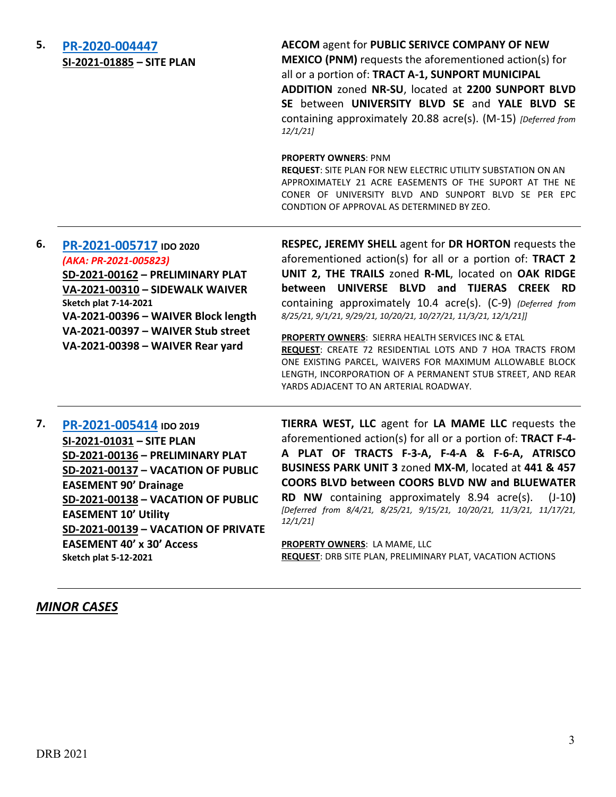| 5. | PR-2020-004447<br>SI-2021-01885 - SITE PLAN                                                                                                                                                                                                                              | AECOM agent for PUBLIC SERIVCE COMPANY OF NEW<br><b>MEXICO (PNM)</b> requests the aforementioned action(s) for<br>all or a portion of: TRACT A-1, SUNPORT MUNICIPAL<br>ADDITION zoned NR-SU, located at 2200 SUNPORT BLVD<br>SE between UNIVERSITY BLVD SE and YALE BLVD SE<br>containing approximately 20.88 acre(s). (M-15) [Deferred from<br>12/1/21<br><b>PROPERTY OWNERS: PNM</b><br>REQUEST: SITE PLAN FOR NEW ELECTRIC UTILITY SUBSTATION ON AN<br>APPROXIMATELY 21 ACRE EASEMENTS OF THE SUPORT AT THE NE<br>CONER OF UNIVERSITY BLVD AND SUNPORT BLVD SE PER EPC<br>CONDTION OF APPROVAL AS DETERMINED BY ZEO.                                      |
|----|--------------------------------------------------------------------------------------------------------------------------------------------------------------------------------------------------------------------------------------------------------------------------|--------------------------------------------------------------------------------------------------------------------------------------------------------------------------------------------------------------------------------------------------------------------------------------------------------------------------------------------------------------------------------------------------------------------------------------------------------------------------------------------------------------------------------------------------------------------------------------------------------------------------------------------------------------|
| 6. | PR-2021-005717 IDO 2020<br>(AKA: PR-2021-005823)<br>SD-2021-00162 - PRELIMINARY PLAT<br>VA-2021-00310 - SIDEWALK WAIVER<br><b>Sketch plat 7-14-2021</b><br>VA-2021-00396 - WAIVER Block length<br>VA-2021-00397 - WAIVER Stub street<br>VA-2021-00398 - WAIVER Rear yard | RESPEC, JEREMY SHELL agent for DR HORTON requests the<br>aforementioned action(s) for all or a portion of: TRACT 2<br>UNIT 2, THE TRAILS zoned R-ML, located on OAK RIDGE<br>between UNIVERSE BLVD and TIJERAS CREEK RD<br>containing approximately 10.4 acre(s). (C-9) (Deferred from<br>8/25/21, 9/1/21, 9/29/21, 10/20/21, 10/27/21, 11/3/21, 12/1/21]]<br><b>PROPERTY OWNERS: SIERRA HEALTH SERVICES INC &amp; ETAL</b><br>REQUEST: CREATE 72 RESIDENTIAL LOTS AND 7 HOA TRACTS FROM<br>ONE EXISTING PARCEL, WAIVERS FOR MAXIMUM ALLOWABLE BLOCK<br>LENGTH, INCORPORATION OF A PERMANENT STUB STREET, AND REAR<br>YARDS ADJACENT TO AN ARTERIAL ROADWAY. |
| 7. | PR-2021-005414 IDO 2019<br>SI-2021-01031 - SITE PLAN<br>SD-2021-00136 - PRELIMINARY PLAT<br>SD-2021-00137 - VACATION OF PUBLIC                                                                                                                                           | TIERRA WEST, LLC agent for LA MAME LLC requests the<br>aforementioned action(s) for all or a portion of: TRACT F-4-<br>A PLAT OF TRACTS F-3-A, F-4-A & F-6-A, ATRISCO<br>BUSINESS PARK UNIT 3 zoned MX-M, located at 441 & 457<br>COORS RIVO between COORS RIVO NW and RUIFWATER                                                                                                                                                                                                                                                                                                                                                                             |

**EASEMENT 90' Drainage SD-2021-00138 – VACATION OF PUBLIC EASEMENT 10' Utility SD-2021-00139 – VACATION OF PRIVATE EASEMENT 40' x 30' Access Sketch plat 5-12-2021**

**COORS BLVD between COORS BLVD NW and BLUEWATER RD NW** containing approximately 8.94 acre(s). (J-10**)**  *[Deferred from 8/4/21, 8/25/21, 9/15/21, 10/20/21, 11/3/21, 11/17/21, 12/1/21]*

**PROPERTY OWNERS**: LA MAME, LLC **REQUEST**: DRB SITE PLAN, PRELIMINARY PLAT, VACATION ACTIONS

### *MINOR CASES*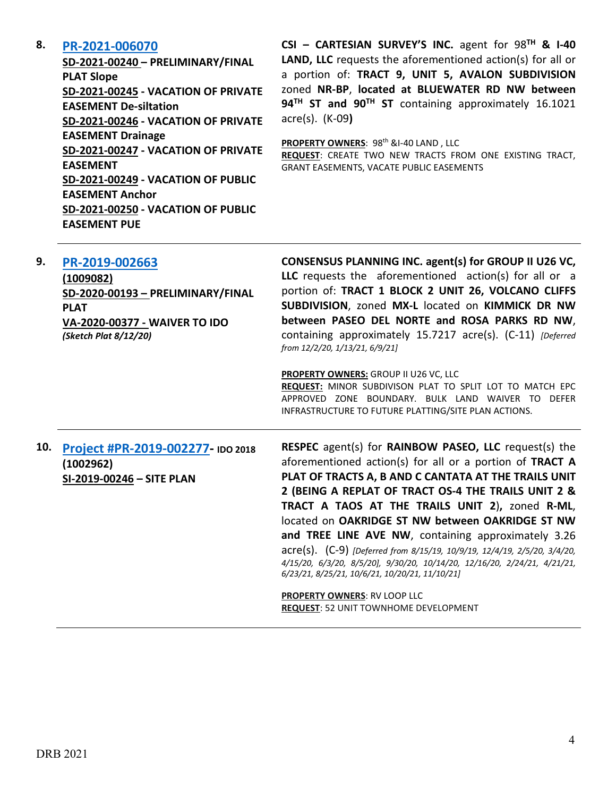### **8. [PR-2021-006070](http://data.cabq.gov/government/planning/DRB/PR-2021-006070/DRB%20Submittals/PR-2021-006070_Dec_8_2021%20(P&F)/)**

**SD-2021-00240 – PRELIMINARY/FINAL PLAT Slope SD-2021-00245 - VACATION OF PRIVATE EASEMENT De-siltation SD-2021-00246 - VACATION OF PRIVATE EASEMENT Drainage SD-2021-00247 - VACATION OF PRIVATE EASEMENT SD-2021-00249 - VACATION OF PUBLIC EASEMENT Anchor SD-2021-00250 - VACATION OF PUBLIC EASEMENT PUE**

**CSI – CARTESIAN SURVEY'S INC.** agent for 98**TH & I-40 LAND, LLC** requests the aforementioned action(s) for all or a portion of: **TRACT 9, UNIT 5, AVALON SUBDIVISION** zoned **NR-BP**, **located at BLUEWATER RD NW between 94TH ST and 90TH ST** containing approximately 16.1021 acre(s). (K-09**)**

**PROPERTY OWNERS: 98th &I-40 LAND, LLC REQUEST**: CREATE TWO NEW TRACTS FROM ONE EXISTING TRACT, GRANT EASEMENTS, VACATE PUBLIC EASEMENTS

| 9.  | PR-2019-002663<br>(1009082)<br>SD-2020-00193 - PRELIMINARY/FINAL<br><b>PLAT</b><br>VA-2020-00377 - WAIVER TO IDO<br>(Sketch Plat 8/12/20) | CONSENSUS PLANNING INC. agent(s) for GROUP II U26 VC,<br>LLC requests the aforementioned action(s) for all or a<br>portion of: TRACT 1 BLOCK 2 UNIT 26, VOLCANO CLIFFS<br>SUBDIVISION, zoned MX-L located on KIMMICK DR NW<br>between PASEO DEL NORTE and ROSA PARKS RD NW,<br>containing approximately 15.7217 acre(s). (C-11) [Deferred]<br>from 12/2/20, 1/13/21, 6/9/21]<br>PROPERTY OWNERS: GROUP II U26 VC, LLC                                                                                                                                                                                                                                                                                   |
|-----|-------------------------------------------------------------------------------------------------------------------------------------------|---------------------------------------------------------------------------------------------------------------------------------------------------------------------------------------------------------------------------------------------------------------------------------------------------------------------------------------------------------------------------------------------------------------------------------------------------------------------------------------------------------------------------------------------------------------------------------------------------------------------------------------------------------------------------------------------------------|
|     |                                                                                                                                           | REQUEST: MINOR SUBDIVISON PLAT TO SPLIT LOT TO MATCH EPC<br>APPROVED ZONE BOUNDARY, BULK LAND WAIVER TO DEFER<br>INFRASTRUCTURE TO FUTURE PLATTING/SITE PLAN ACTIONS.                                                                                                                                                                                                                                                                                                                                                                                                                                                                                                                                   |
| 10. | Project #PR-2019-002277- IDO 2018<br>(1002962)<br>SI-2019-00246 - SITE PLAN                                                               | <b>RESPEC</b> agent(s) for <b>RAINBOW PASEO</b> , LLC request(s) the<br>aforementioned action(s) for all or a portion of TRACT A<br>PLAT OF TRACTS A, B AND C CANTATA AT THE TRAILS UNIT<br>2 (BEING A REPLAT OF TRACT OS-4 THE TRAILS UNIT 2 &<br>TRACT A TAOS AT THE TRAILS UNIT 2), zoned R-ML,<br>located on OAKRIDGE ST NW between OAKRIDGE ST NW<br>and TREE LINE AVE NW, containing approximately 3.26<br>acre(s). (C-9) [Deferred from 8/15/19, 10/9/19, 12/4/19, 2/5/20, 3/4/20,<br>4/15/20, 6/3/20, 8/5/20], 9/30/20, 10/14/20, 12/16/20, 2/24/21, 4/21/21,<br>6/23/21, 8/25/21, 10/6/21, 10/20/21, 11/10/21]<br>PROPERTY OWNERS: RV LOOP LLC<br><b>REQUEST: 52 UNIT TOWNHOME DEVELOPMENT</b> |